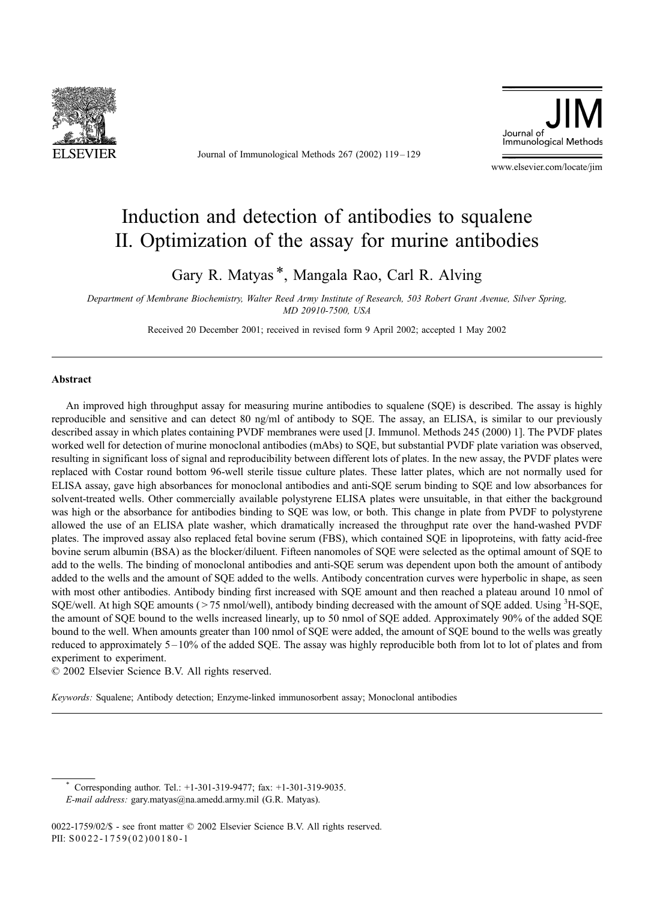

Journal of Immunological Methods 267 (2002) 119 – 129



www.elsevier.com/locate/jim

# Induction and detection of antibodies to squalene II. Optimization of the assay for murine antibodies

Gary R. Matyas \*, Mangala Rao, Carl R. Alving

Department of Membrane Biochemistry, Walter Reed Army Institute of Research, 503 Robert Grant Avenue, Silver Spring, MD 20910-7500, USA

Received 20 December 2001; received in revised form 9 April 2002; accepted 1 May 2002

#### Abstract

An improved high throughput assay for measuring murine antibodies to squalene (SQE) is described. The assay is highly reproducible and sensitive and can detect 80 ng/ml of antibody to SQE. The assay, an ELISA, is similar to our previously described assay in which plates containing PVDF membranes were used [J. Immunol. Methods 245 (2000) 1]. The PVDF plates worked well for detection of murine monoclonal antibodies (mAbs) to SQE, but substantial PVDF plate variation was observed, resulting in significant loss of signal and reproducibility between different lots of plates. In the new assay, the PVDF plates were replaced with Costar round bottom 96-well sterile tissue culture plates. These latter plates, which are not normally used for ELISA assay, gave high absorbances for monoclonal antibodies and anti-SQE serum binding to SQE and low absorbances for solvent-treated wells. Other commercially available polystyrene ELISA plates were unsuitable, in that either the background was high or the absorbance for antibodies binding to SQE was low, or both. This change in plate from PVDF to polystyrene allowed the use of an ELISA plate washer, which dramatically increased the throughput rate over the hand-washed PVDF plates. The improved assay also replaced fetal bovine serum (FBS), which contained SQE in lipoproteins, with fatty acid-free bovine serum albumin (BSA) as the blocker/diluent. Fifteen nanomoles of SQE were selected as the optimal amount of SQE to add to the wells. The binding of monoclonal antibodies and anti-SQE serum was dependent upon both the amount of antibody added to the wells and the amount of SQE added to the wells. Antibody concentration curves were hyperbolic in shape, as seen with most other antibodies. Antibody binding first increased with SQE amount and then reached a plateau around 10 nmol of SQE/well. At high SQE amounts (>75 nmol/well), antibody binding decreased with the amount of SQE added. Using <sup>3</sup>H-SQE, the amount of SQE bound to the wells increased linearly, up to 50 nmol of SQE added. Approximately 90% of the added SQE bound to the well. When amounts greater than 100 nmol of SQE were added, the amount of SQE bound to the wells was greatly reduced to approximately 5 – 10% of the added SQE. The assay was highly reproducible both from lot to lot of plates and from experiment to experiment.

 $© 2002 Elsevier Science B.V. All rights reserved.$ 

Keywords: Squalene; Antibody detection; Enzyme-linked immunosorbent assay; Monoclonal antibodies

Corresponding author. Tel.: +1-301-319-9477; fax: +1-301-319-9035. E-mail address: gary.matyas@na.amedd.army.mil (G.R. Matyas).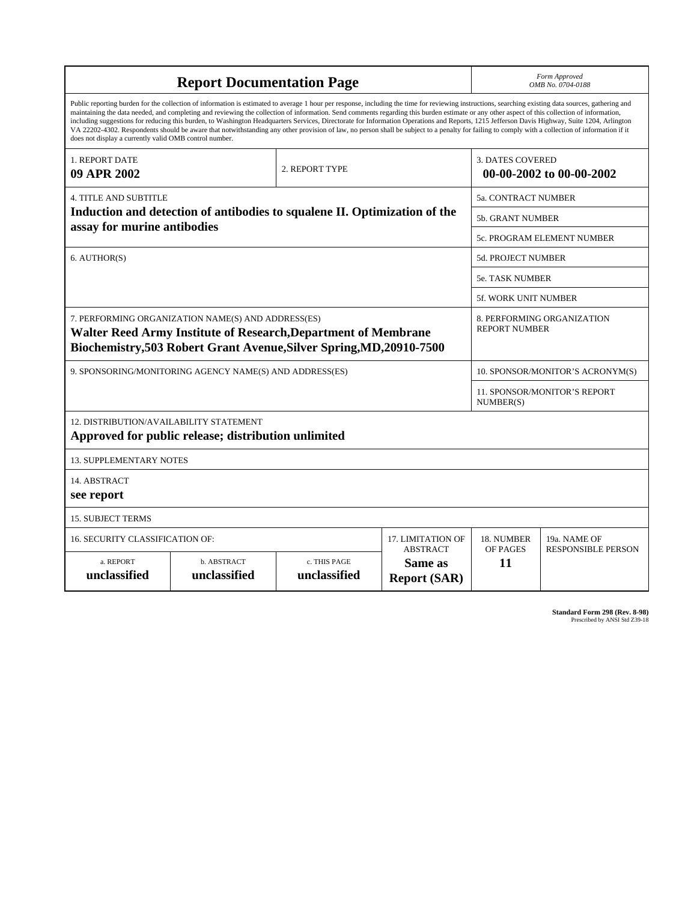| <b>Report Documentation Page</b>                                                                                                                                                                                                                                                                                                                                                                                                                                                                                                                                                                                                                                                                                                                                                                                                                                   |                             |                              |                                                   |                                                     | Form Approved<br>OMB No. 0704-0188                 |  |
|--------------------------------------------------------------------------------------------------------------------------------------------------------------------------------------------------------------------------------------------------------------------------------------------------------------------------------------------------------------------------------------------------------------------------------------------------------------------------------------------------------------------------------------------------------------------------------------------------------------------------------------------------------------------------------------------------------------------------------------------------------------------------------------------------------------------------------------------------------------------|-----------------------------|------------------------------|---------------------------------------------------|-----------------------------------------------------|----------------------------------------------------|--|
| Public reporting burden for the collection of information is estimated to average 1 hour per response, including the time for reviewing instructions, searching existing data sources, gathering and<br>maintaining the data needed, and completing and reviewing the collection of information. Send comments regarding this burden estimate or any other aspect of this collection of information,<br>including suggestions for reducing this burden, to Washington Headquarters Services, Directorate for Information Operations and Reports, 1215 Jefferson Davis Highway, Suite 1204, Arlington<br>VA 22202-4302. Respondents should be aware that notwithstanding any other provision of law, no person shall be subject to a penalty for failing to comply with a collection of information if it<br>does not display a currently valid OMB control number. |                             |                              |                                                   |                                                     |                                                    |  |
| 1. REPORT DATE<br>09 APR 2002                                                                                                                                                                                                                                                                                                                                                                                                                                                                                                                                                                                                                                                                                                                                                                                                                                      |                             | 2. REPORT TYPE               |                                                   | <b>3. DATES COVERED</b><br>00-00-2002 to 00-00-2002 |                                                    |  |
| <b>4. TITLE AND SUBTITLE</b>                                                                                                                                                                                                                                                                                                                                                                                                                                                                                                                                                                                                                                                                                                                                                                                                                                       |                             |                              |                                                   |                                                     | 5a. CONTRACT NUMBER                                |  |
| Induction and detection of antibodies to squalene II. Optimization of the                                                                                                                                                                                                                                                                                                                                                                                                                                                                                                                                                                                                                                                                                                                                                                                          |                             |                              |                                                   |                                                     | 5b. GRANT NUMBER                                   |  |
| assay for murine antibodies                                                                                                                                                                                                                                                                                                                                                                                                                                                                                                                                                                                                                                                                                                                                                                                                                                        |                             |                              |                                                   | <b>5c. PROGRAM ELEMENT NUMBER</b>                   |                                                    |  |
| 6. AUTHOR(S)                                                                                                                                                                                                                                                                                                                                                                                                                                                                                                                                                                                                                                                                                                                                                                                                                                                       |                             |                              |                                                   | 5d. PROJECT NUMBER                                  |                                                    |  |
|                                                                                                                                                                                                                                                                                                                                                                                                                                                                                                                                                                                                                                                                                                                                                                                                                                                                    |                             |                              |                                                   | <b>5e. TASK NUMBER</b>                              |                                                    |  |
|                                                                                                                                                                                                                                                                                                                                                                                                                                                                                                                                                                                                                                                                                                                                                                                                                                                                    |                             |                              |                                                   | 5f. WORK UNIT NUMBER                                |                                                    |  |
| 7. PERFORMING ORGANIZATION NAME(S) AND ADDRESS(ES)<br>Walter Reed Army Institute of Research, Department of Membrane<br>Biochemistry, 503 Robert Grant Avenue, Silver Spring, MD, 20910-7500                                                                                                                                                                                                                                                                                                                                                                                                                                                                                                                                                                                                                                                                       |                             |                              |                                                   |                                                     | 8. PERFORMING ORGANIZATION<br><b>REPORT NUMBER</b> |  |
| 9. SPONSORING/MONITORING AGENCY NAME(S) AND ADDRESS(ES)                                                                                                                                                                                                                                                                                                                                                                                                                                                                                                                                                                                                                                                                                                                                                                                                            |                             |                              |                                                   |                                                     | 10. SPONSOR/MONITOR'S ACRONYM(S)                   |  |
|                                                                                                                                                                                                                                                                                                                                                                                                                                                                                                                                                                                                                                                                                                                                                                                                                                                                    |                             |                              |                                                   |                                                     | 11. SPONSOR/MONITOR'S REPORT<br>NUMBER(S)          |  |
| 12. DISTRIBUTION/AVAILABILITY STATEMENT<br>Approved for public release; distribution unlimited                                                                                                                                                                                                                                                                                                                                                                                                                                                                                                                                                                                                                                                                                                                                                                     |                             |                              |                                                   |                                                     |                                                    |  |
| <b>13. SUPPLEMENTARY NOTES</b>                                                                                                                                                                                                                                                                                                                                                                                                                                                                                                                                                                                                                                                                                                                                                                                                                                     |                             |                              |                                                   |                                                     |                                                    |  |
| 14. ABSTRACT<br>see report                                                                                                                                                                                                                                                                                                                                                                                                                                                                                                                                                                                                                                                                                                                                                                                                                                         |                             |                              |                                                   |                                                     |                                                    |  |
| <b>15. SUBJECT TERMS</b>                                                                                                                                                                                                                                                                                                                                                                                                                                                                                                                                                                                                                                                                                                                                                                                                                                           |                             |                              |                                                   |                                                     |                                                    |  |
| 16. SECURITY CLASSIFICATION OF:                                                                                                                                                                                                                                                                                                                                                                                                                                                                                                                                                                                                                                                                                                                                                                                                                                    | 17. LIMITATION OF           | 18. NUMBER                   | 19a. NAME OF                                      |                                                     |                                                    |  |
| a. REPORT<br>unclassified                                                                                                                                                                                                                                                                                                                                                                                                                                                                                                                                                                                                                                                                                                                                                                                                                                          | b. ABSTRACT<br>unclassified | c. THIS PAGE<br>unclassified | <b>ABSTRACT</b><br>Same as<br><b>Report (SAR)</b> | OF PAGES<br>11                                      | <b>RESPONSIBLE PERSON</b>                          |  |

| Standard Form 298 (Rev. 8-98) |                               |
|-------------------------------|-------------------------------|
|                               | Prescribed by ANSI Std Z39-18 |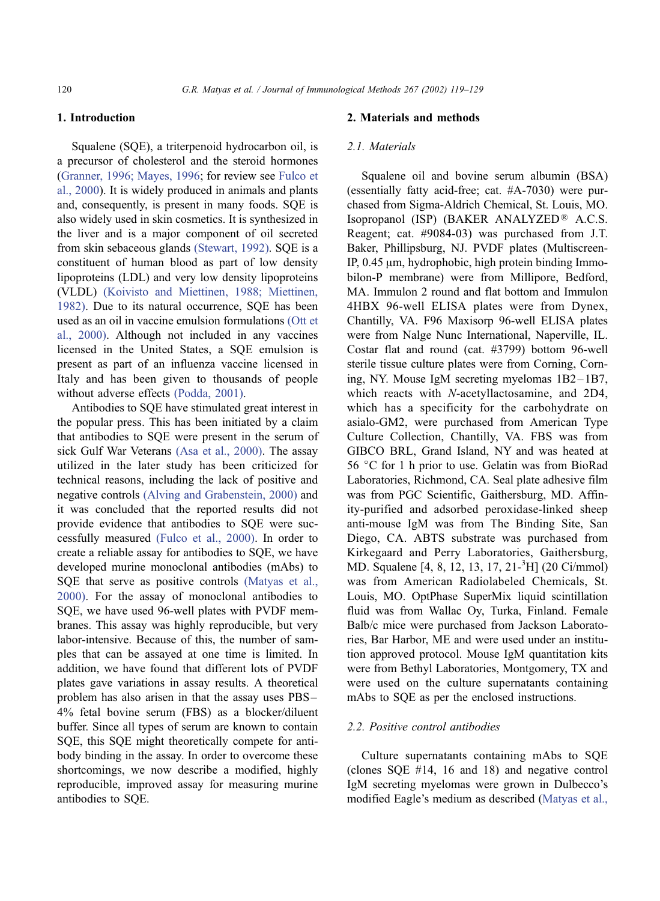# 1. Introduction

Squalene (SQE), a triterpenoid hydrocarbon oil, is a precursor of cholesterol and the steroid hormones ([Granner, 1996; Mayes, 1996;](#page-11-0) for review see [Fulco et](#page-11-0) al., 2000). It is widely produced in animals and plants and, consequently, is present in many foods. SQE is also widely used in skin cosmetics. It is synthesized in the liver and is a major component of oil secreted from skin sebaceous glands [\(Stewart, 1992\).](#page-11-0) SQE is a constituent of human blood as part of low density lipoproteins (LDL) and very low density lipoproteins (VLDL) [\(Koivisto and Miettinen, 1988; Miettinen,](#page-11-0) 1982). Due to its natural occurrence, SQE has been used as an oil in vaccine emulsion formulations [\(Ott et](#page-11-0) al., 2000). Although not included in any vaccines licensed in the United States, a SQE emulsion is present as part of an influenza vaccine licensed in Italy and has been given to thousands of people without adverse effects [\(Podda, 2001\).](#page-11-0)

Antibodies to SQE have stimulated great interest in the popular press. This has been initiated by a claim that antibodies to SQE were present in the serum of sick Gulf War Veterans [\(Asa et al., 2000\).](#page-11-0) The assay utilized in the later study has been criticized for technical reasons, including the lack of positive and negative controls [\(Alving and Grabenstein, 2000\)](#page-11-0) and it was concluded that the reported results did not provide evidence that antibodies to SQE were successfully measured [\(Fulco et al., 2000\).](#page-11-0) In order to create a reliable assay for antibodies to SQE, we have developed murine monoclonal antibodies (mAbs) to SQE that serve as positive controls [\(Matyas et al.,](#page-11-0) 2000). For the assay of monoclonal antibodies to SQE, we have used 96-well plates with PVDF membranes. This assay was highly reproducible, but very labor-intensive. Because of this, the number of samples that can be assayed at one time is limited. In addition, we have found that different lots of PVDF plates gave variations in assay results. A theoretical problem has also arisen in that the assay uses PBS – 4% fetal bovine serum (FBS) as a blocker/diluent buffer. Since all types of serum are known to contain SQE, this SQE might theoretically compete for antibody binding in the assay. In order to overcome these shortcomings, we now describe a modified, highly reproducible, improved assay for measuring murine antibodies to SQE.

## 2. Materials and methods

## 2.1. Materials

Squalene oil and bovine serum albumin (BSA) (essentially fatty acid-free; cat. #A-7030) were purchased from Sigma-Aldrich Chemical, St. Louis, MO. Isopropanol (ISP) (BAKER ANALYZED® A.C.S. Reagent; cat. #9084-03) was purchased from J.T. Baker, Phillipsburg, NJ. PVDF plates (Multiscreen-IP,  $0.45 \mu$ m, hydrophobic, high protein binding Immobilon-P membrane) were from Millipore, Bedford, MA. Immulon 2 round and flat bottom and Immulon 4HBX 96-well ELISA plates were from Dynex, Chantilly, VA. F96 Maxisorp 96-well ELISA plates were from Nalge Nunc International, Naperville, IL. Costar flat and round (cat. #3799) bottom 96-well sterile tissue culture plates were from Corning, Corning, NY. Mouse IgM secreting myelomas 1B2 – 1B7, which reacts with N-acetyllactosamine, and 2D4, which has a specificity for the carbohydrate on asialo-GM2, were purchased from American Type Culture Collection, Chantilly, VA. FBS was from GIBCO BRL, Grand Island, NY and was heated at 56  $\degree$ C for 1 h prior to use. Gelatin was from BioRad Laboratories, Richmond, CA. Seal plate adhesive film was from PGC Scientific, Gaithersburg, MD. Affinity-purified and adsorbed peroxidase-linked sheep anti-mouse IgM was from The Binding Site, San Diego, CA. ABTS substrate was purchased from Kirkegaard and Perry Laboratories, Gaithersburg, MD. Squalene [4, 8, 12, 13, 17, 21-<sup>3</sup>H] (20 Ci/mmol) was from American Radiolabeled Chemicals, St. Louis, MO. OptPhase SuperMix liquid scintillation fluid was from Wallac Oy, Turka, Finland. Female Balb/c mice were purchased from Jackson Laboratories, Bar Harbor, ME and were used under an institution approved protocol. Mouse IgM quantitation kits were from Bethyl Laboratories, Montgomery, TX and were used on the culture supernatants containing mAbs to SQE as per the enclosed instructions.

## 2.2. Positive control antibodies

Culture supernatants containing mAbs to SQE (clones SQE #14, 16 and 18) and negative control IgM secreting myelomas were grown in Dulbecco's modified Eagle's medium as described ([Matyas et al.,](#page-11-0)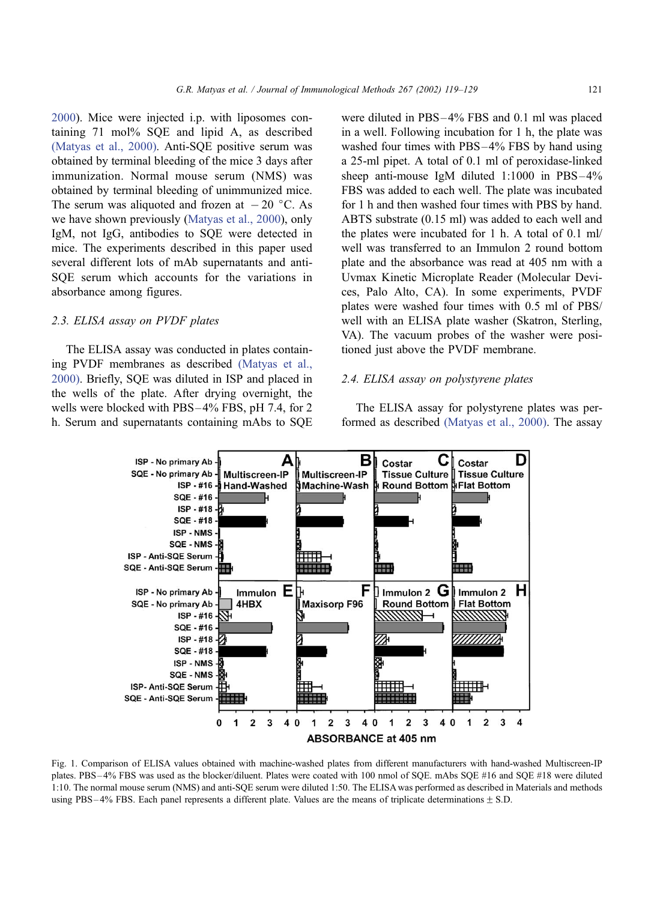<span id="page-3-0"></span>2000). Mice were injected i.p. with liposomes containing 71 mol% SQE and lipid A, as described [\(Matyas et al., 2000\).](#page-11-0) Anti-SQE positive serum was obtained by terminal bleeding of the mice 3 days after immunization. Normal mouse serum (NMS) was obtained by terminal bleeding of unimmunized mice. The serum was aliquoted and frozen at  $-20$  °C. As we have shown previously ([Matyas et al., 2000\)](#page-11-0), only IgM, not IgG, antibodies to SQE were detected in mice. The experiments described in this paper used several different lots of mAb supernatants and anti-SQE serum which accounts for the variations in absorbance among figures.

## 2.3. ELISA assay on PVDF plates

The ELISA assay was conducted in plates containing PVDF membranes as described [\(Matyas et al.,](#page-11-0) 2000). Briefly, SQE was diluted in ISP and placed in the wells of the plate. After drying overnight, the wells were blocked with PBS-4% FBS, pH 7.4, for 2 h. Serum and supernatants containing mAbs to SQE

were diluted in PBS –4% FBS and 0.1 ml was placed in a well. Following incubation for 1 h, the plate was washed four times with PBS-4% FBS by hand using a 25-ml pipet. A total of 0.1 ml of peroxidase-linked sheep anti-mouse IgM diluted  $1:1000$  in PBS $-4\%$ FBS was added to each well. The plate was incubated for 1 h and then washed four times with PBS by hand. ABTS substrate (0.15 ml) was added to each well and the plates were incubated for 1 h. A total of 0.1 ml/ well was transferred to an Immulon 2 round bottom plate and the absorbance was read at 405 nm with a Uvmax Kinetic Microplate Reader (Molecular Devices, Palo Alto, CA). In some experiments, PVDF plates were washed four times with 0.5 ml of PBS/ well with an ELISA plate washer (Skatron, Sterling, VA). The vacuum probes of the washer were positioned just above the PVDF membrane.

## 2.4. ELISA assay on polystyrene plates

The ELISA assay for polystyrene plates was performed as described [\(Matyas et al., 2000\).](#page-11-0) The assay



Fig. 1. Comparison of ELISA values obtained with machine-washed plates from different manufacturers with hand-washed Multiscreen-IP plates. PBS – 4% FBS was used as the blocker/diluent. Plates were coated with 100 nmol of SQE. mAbs SQE #16 and SQE #18 were diluted 1:10. The normal mouse serum (NMS) and anti-SQE serum were diluted 1:50. The ELISA was performed as described in Materials and methods using PBS – 4% FBS. Each panel represents a different plate. Values are the means of triplicate determinations  $\pm$  S.D.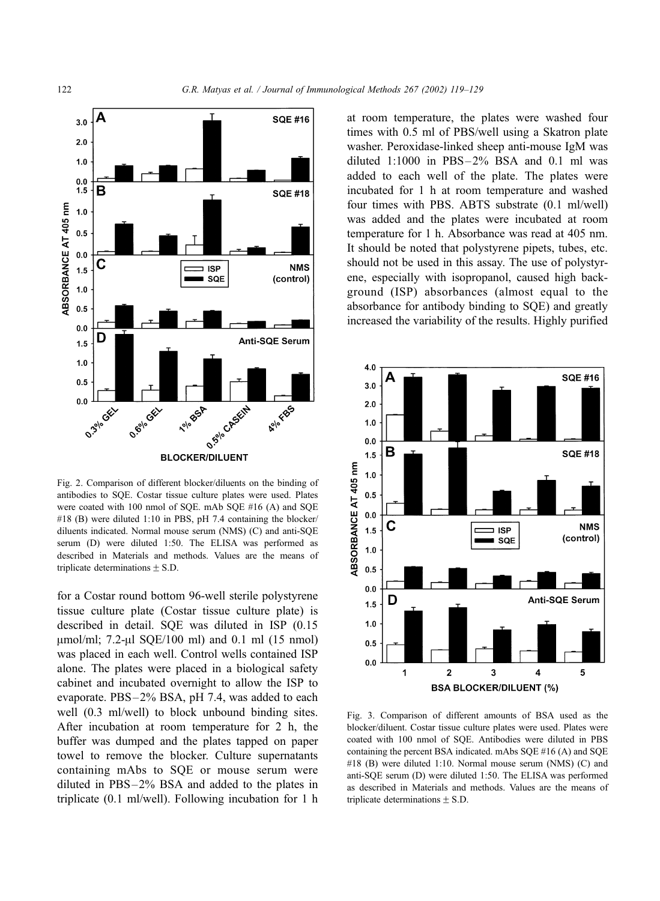<span id="page-4-0"></span>

Fig. 2. Comparison of different blocker/diluents on the binding of antibodies to SQE. Costar tissue culture plates were used. Plates were coated with 100 nmol of SQE. mAb SQE #16 (A) and SQE #18 (B) were diluted 1:10 in PBS, pH 7.4 containing the blocker/ diluents indicated. Normal mouse serum (NMS) (C) and anti-SQE serum (D) were diluted 1:50. The ELISA was performed as described in Materials and methods. Values are the means of triplicate determinations  $\pm$  S.D.

for a Costar round bottom 96-well sterile polystyrene tissue culture plate (Costar tissue culture plate) is described in detail. SQE was diluted in ISP (0.15  $\mu$ mol/ml; 7.2- $\mu$ l SQE/100 ml) and 0.1 ml (15 nmol) was placed in each well. Control wells contained ISP alone. The plates were placed in a biological safety cabinet and incubated overnight to allow the ISP to evaporate. PBS –2% BSA, pH 7.4, was added to each well (0.3 ml/well) to block unbound binding sites. After incubation at room temperature for 2 h, the buffer was dumped and the plates tapped on paper towel to remove the blocker. Culture supernatants containing mAbs to SQE or mouse serum were diluted in PBS –2% BSA and added to the plates in triplicate (0.1 ml/well). Following incubation for 1 h at room temperature, the plates were washed four times with 0.5 ml of PBS/well using a Skatron plate washer. Peroxidase-linked sheep anti-mouse IgM was diluted  $1:1000$  in PBS $-2\%$  BSA and 0.1 ml was added to each well of the plate. The plates were incubated for 1 h at room temperature and washed four times with PBS. ABTS substrate (0.1 ml/well) was added and the plates were incubated at room temperature for 1 h. Absorbance was read at 405 nm. It should be noted that polystyrene pipets, tubes, etc. should not be used in this assay. The use of polystyrene, especially with isopropanol, caused high background (ISP) absorbances (almost equal to the absorbance for antibody binding to SQE) and greatly increased the variability of the results. Highly purified



Fig. 3. Comparison of different amounts of BSA used as the blocker/diluent. Costar tissue culture plates were used. Plates were coated with 100 nmol of SQE. Antibodies were diluted in PBS containing the percent BSA indicated. mAbs SQE #16 (A) and SQE #18 (B) were diluted 1:10. Normal mouse serum (NMS) (C) and anti-SQE serum (D) were diluted 1:50. The ELISA was performed as described in Materials and methods. Values are the means of triplicate determinations  $\pm$  S.D.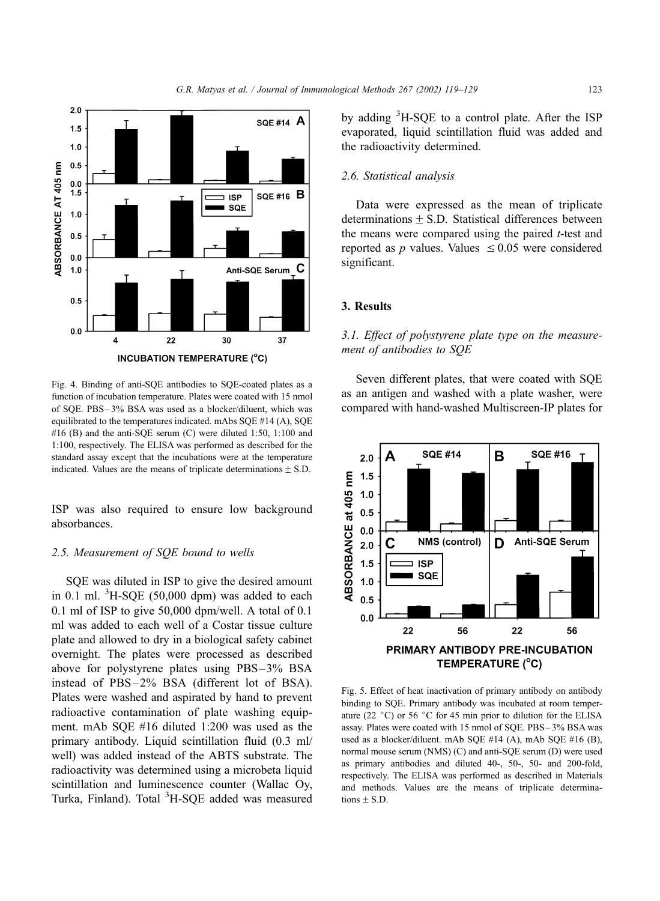<span id="page-5-0"></span>

Fig. 4. Binding of anti-SQE antibodies to SQE-coated plates as a function of incubation temperature. Plates were coated with 15 nmol of SQE. PBS – 3% BSA was used as a blocker/diluent, which was equilibrated to the temperatures indicated. mAbs SQE #14 (A), SQE #16 (B) and the anti-SQE serum (C) were diluted 1:50, 1:100 and 1:100, respectively. The ELISA was performed as described for the standard assay except that the incubations were at the temperature indicated. Values are the means of triplicate determinations  $\pm$  S.D.

ISP was also required to ensure low background absorbances.

#### 2.5. Measurement of SQE bound to wells

SQE was diluted in ISP to give the desired amount in 0.1 ml.  ${}^{3}$ H-SQE (50,000 dpm) was added to each 0.1 ml of ISP to give 50,000 dpm/well. A total of 0.1 ml was added to each well of a Costar tissue culture plate and allowed to dry in a biological safety cabinet overnight. The plates were processed as described above for polystyrene plates using PBS –3% BSA instead of PBS-2% BSA (different lot of BSA). Plates were washed and aspirated by hand to prevent radioactive contamination of plate washing equipment. mAb SQE #16 diluted 1:200 was used as the primary antibody. Liquid scintillation fluid (0.3 ml/ well) was added instead of the ABTS substrate. The radioactivity was determined using a microbeta liquid scintillation and luminescence counter (Wallac Oy, Turka, Finland). Total <sup>3</sup>H-SQE added was measured

by adding <sup>3</sup>H-SQE to a control plate. After the ISP evaporated, liquid scintillation fluid was added and the radioactivity determined.

#### 2.6. Statistical analysis

Data were expressed as the mean of triplicate determinations  $+$  S.D. Statistical differences between the means were compared using the paired  $t$ -test and reported as p values. Values  $\leq 0.05$  were considered significant.

## 3. Results

3.1. Effect of polystyrene plate type on the measurement of antibodies to SQE

Seven different plates, that were coated with SQE as an antigen and washed with a plate washer, were compared with hand-washed Multiscreen-IP plates for



Fig. 5. Effect of heat inactivation of primary antibody on antibody binding to SQE. Primary antibody was incubated at room temperature (22 $\degree$ C) or 56  $\degree$ C for 45 min prior to dilution for the ELISA assay. Plates were coated with 15 nmol of SQE. PBS – 3% BSA was used as a blocker/diluent. mAb SQE #14 (A), mAb SQE #16 (B), normal mouse serum (NMS) (C) and anti-SQE serum (D) were used as primary antibodies and diluted 40-, 50-, 50- and 200-fold, respectively. The ELISA was performed as described in Materials and methods. Values are the means of triplicate determinations  $\pm$  S.D.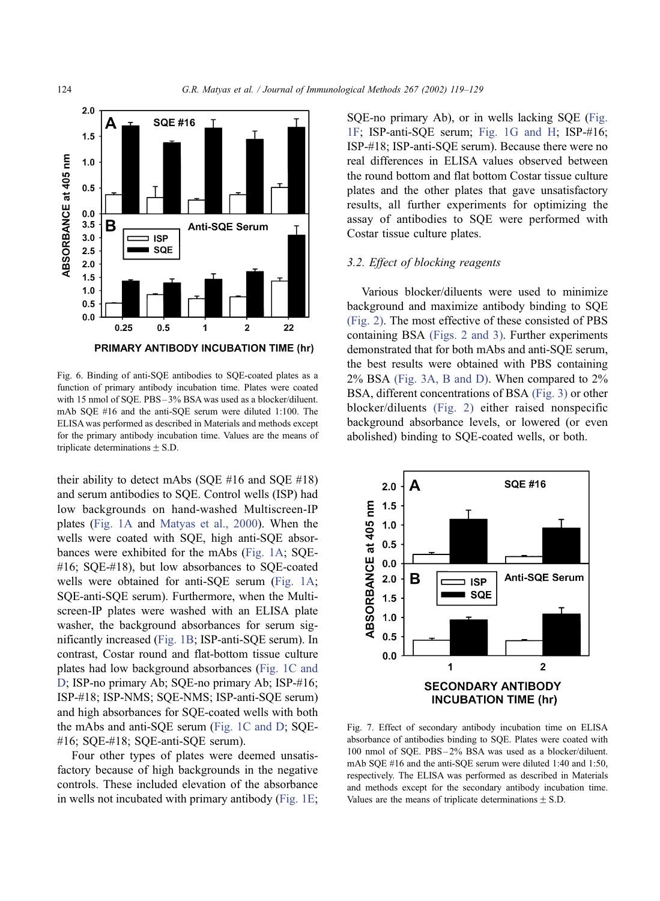<span id="page-6-0"></span>

Fig. 6. Binding of anti-SQE antibodies to SQE-coated plates as a function of primary antibody incubation time. Plates were coated with 15 nmol of SQE. PBS-3% BSA was used as a blocker/diluent. mAb SQE #16 and the anti-SQE serum were diluted 1:100. The ELISA was performed as described in Materials and methods except for the primary antibody incubation time. Values are the means of triplicate determinations  $\pm$  S.D.

their ability to detect mAbs (SOE  $#16$  and SOE  $#18$ ) and serum antibodies to SQE. Control wells (ISP) had low backgrounds on hand-washed Multiscreen-IP plates ([Fig. 1A](#page-3-0) and [Matyas et al., 2000\)](#page-11-0). When the wells were coated with SQE, high anti-SQE absorbances were exhibited for the mAbs ([Fig. 1A;](#page-3-0) SQE- #16; SQE-#18), but low absorbances to SQE-coated wells were obtained for anti-SQE serum ([Fig. 1A;](#page-3-0) SQE-anti-SQE serum). Furthermore, when the Multiscreen-IP plates were washed with an ELISA plate washer, the background absorbances for serum significantly increased ([Fig. 1B;](#page-3-0) ISP-anti-SQE serum). In contrast, Costar round and flat-bottom tissue culture plates had low background absorbances ([Fig. 1C and](#page-3-0) D; ISP-no primary Ab; SQE-no primary Ab; ISP-#16; ISP-#18; ISP-NMS; SQE-NMS; ISP-anti-SQE serum) and high absorbances for SQE-coated wells with both the mAbs and anti-SQE serum ([Fig. 1C and D;](#page-3-0) SQE- #16; SQE-#18; SQE-anti-SQE serum).

Four other types of plates were deemed unsatisfactory because of high backgrounds in the negative controls. These included elevation of the absorbance in wells not incubated with primary antibody ([Fig. 1E;](#page-3-0) SQE-no primary Ab), or in wells lacking SQE ([Fig.](#page-3-0) 1F; ISP-anti-SQE serum; [Fig. 1G and H;](#page-3-0) ISP-#16; ISP-#18; ISP-anti-SQE serum). Because there were no real differences in ELISA values observed between the round bottom and flat bottom Costar tissue culture plates and the other plates that gave unsatisfactory results, all further experiments for optimizing the assay of antibodies to SQE were performed with Costar tissue culture plates.

#### 3.2. Effect of blocking reagents

Various blocker/diluents were used to minimize background and maximize antibody binding to SQE [\(Fig. 2\).](#page-4-0) The most effective of these consisted of PBS containing BSA [\(Figs. 2 and 3\).](#page-4-0) Further experiments demonstrated that for both mAbs and anti-SQE serum, the best results were obtained with PBS containing 2% BSA [\(Fig. 3A, B and D\).](#page-4-0) When compared to 2% BSA, different concentrations of BSA [\(Fig. 3\)](#page-4-0) or other blocker/diluents [\(Fig. 2\)](#page-4-0) either raised nonspecific background absorbance levels, or lowered (or even abolished) binding to SQE-coated wells, or both.



Fig. 7. Effect of secondary antibody incubation time on ELISA absorbance of antibodies binding to SQE. Plates were coated with 100 nmol of SQE. PBS – 2% BSA was used as a blocker/diluent. mAb SQE #16 and the anti-SQE serum were diluted 1:40 and 1:50, respectively. The ELISA was performed as described in Materials and methods except for the secondary antibody incubation time. Values are the means of triplicate determinations  $\pm$  S.D.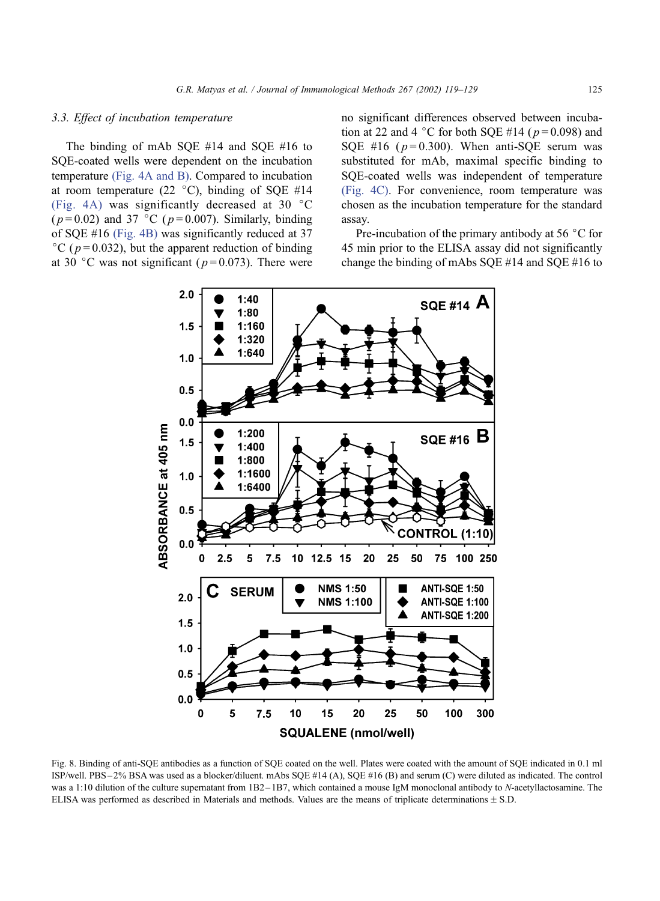## <span id="page-7-0"></span>3.3. Effect of incubation temperature

The binding of mAb SQE #14 and SQE #16 to SQE-coated wells were dependent on the incubation temperature [\(Fig. 4A and B\).](#page-5-0) Compared to incubation at room temperature (22  $^{\circ}$ C), binding of SQE #14 [\(Fig. 4A\)](#page-5-0) was significantly decreased at 30  $\degree$ C ( $p = 0.02$ ) and 37 °C ( $p = 0.007$ ). Similarly, binding of SQE #16 [\(Fig. 4B\)](#page-5-0) was significantly reduced at 37 °C ( $p = 0.032$ ), but the apparent reduction of binding at 30 °C was not significant ( $p = 0.073$ ). There were no significant differences observed between incubation at 22 and 4 °C for both SQE #14 ( $p = 0.098$ ) and SQE #16 ( $p = 0.300$ ). When anti-SQE serum was substituted for mAb, maximal specific binding to SQE-coated wells was independent of temperature [\(Fig. 4C\).](#page-5-0) For convenience, room temperature was chosen as the incubation temperature for the standard assay.

Pre-incubation of the primary antibody at 56  $\degree$ C for 45 min prior to the ELISA assay did not significantly change the binding of mAbs SQE #14 and SQE #16 to



Fig. 8. Binding of anti-SQE antibodies as a function of SQE coated on the well. Plates were coated with the amount of SQE indicated in 0.1 ml ISP/well. PBS – 2% BSA was used as a blocker/diluent. mAbs SQE #14 (A), SQE #16 (B) and serum (C) were diluted as indicated. The control was a 1:10 dilution of the culture supernatant from 1B2-1B7, which contained a mouse IgM monoclonal antibody to N-acetyllactosamine. The ELISA was performed as described in Materials and methods. Values are the means of triplicate determinations  $\pm$  S.D.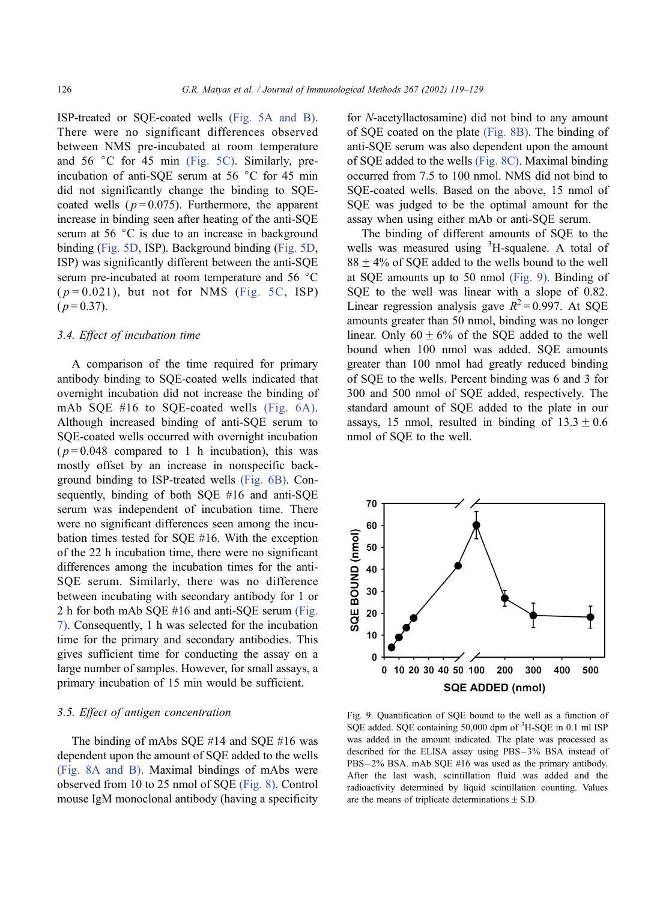<span id="page-8-0"></span>ISP-treated or SQE-coated wells [\(Fig. 5A and B\).](#page-5-0) There were no significant differences observed between NMS pre-incubated at room temperature and  $56 \degree C$  for  $45 \text{ min}$  (Fig.  $5C$ ). Similarly, preincubation of anti-SQE serum at 56  $\degree$ C for 45 min did not significantly change the binding to SQEcoated wells ( $p = 0.075$ ). Furthermore, the apparent increase in binding seen after heating of the anti-SQE serum at  $56 \degree C$  is due to an increase in background binding ([Fig. 5D,](#page-5-0) ISP). Background binding ([Fig. 5D,](#page-5-0) ISP) was significantly different between the anti-SQE serum pre-incubated at room temperature and  $56 \degree C$  $(p=0.021)$ , but not for NMS ([Fig. 5C,](#page-5-0) ISP)  $(p=0.37)$ .

#### 3.4. Effect of incubation time

A comparison of the time required for primary antibody binding to SQE-coated wells indicated that overnight incubation did not increase the binding of mAb SQE #16 to SQE-coated wells [\(Fig. 6A\).](#page-6-0) Although increased binding of anti-SQE serum to SQE-coated wells occurred with overnight incubation  $(p=0.048$  compared to 1 h incubation), this was mostly offset by an increase in nonspecific background binding to ISP-treated wells [\(Fig. 6B\).](#page-6-0) Consequently, binding of both SQE #16 and anti-SQE serum was independent of incubation time. There were no significant differences seen among the incubation times tested for SQE #16. With the exception of the 22 h incubation time, there were no significant differences among the incubation times for the anti-SQE serum. Similarly, there was no difference between incubating with secondary antibody for 1 or 2 h for both mAb SQE #16 and anti-SQE serum [\(Fig.](#page-6-0) 7). Consequently, 1 h was selected for the incubation time for the primary and secondary antibodies. This gives sufficient time for conducting the assay on a large number of samples. However, for small assays, a primary incubation of 15 min would be sufficient.

# 3.5. Effect of antigen concentration

The binding of mAbs SQE #14 and SQE #16 was dependent upon the amount of SQE added to the wells [\(Fig. 8A and B\).](#page-7-0) Maximal bindings of mAbs were observed from 10 to 25 nmol of SQE [\(Fig. 8\).](#page-7-0) Control mouse IgM monoclonal antibody (having a specificity for N-acetyllactosamine) did not bind to any amount of SQE coated on the plate [\(Fig. 8B\).](#page-7-0) The binding of anti-SQE serum was also dependent upon the amount of SQE added to the wells [\(Fig. 8C\).](#page-7-0) Maximal binding occurred from 7.5 to 100 nmol. NMS did not bind to SQE-coated wells. Based on the above, 15 nmol of SQE was judged to be the optimal amount for the assay when using either mAb or anti-SQE serum.

The binding of different amounts of SQE to the wells was measured using <sup>3</sup>H-squalene. A total of  $88 \pm 4\%$  of SOE added to the wells bound to the well at SQE amounts up to 50 nmol (Fig. 9). Binding of SQE to the well was linear with a slope of 0.82. Linear regression analysis gave  $R^2 = 0.997$ . At SOE amounts greater than 50 nmol, binding was no longer linear. Only  $60 \pm 6\%$  of the SQE added to the well bound when 100 nmol was added. SQE amounts greater than 100 nmol had greatly reduced binding of SQE to the wells. Percent binding was 6 and 3 for 300 and 500 nmol of SQE added, respectively. The standard amount of SQE added to the plate in our assays, 15 nmol, resulted in binding of  $13.3 \pm 0.6$ nmol of SQE to the well.



Fig. 9. Quantification of SQE bound to the well as a function of SQE added. SQE containing 50,000 dpm of <sup>3</sup>H-SQE in 0.1 ml ISP was added in the amount indicated. The plate was processed as described for the ELISA assay using PBS – 3% BSA instead of PBS – 2% BSA. mAb SQE #16 was used as the primary antibody. After the last wash, scintillation fluid was added and the radioactivity determined by liquid scintillation counting. Values are the means of triplicate determinations  $\pm$  S.D.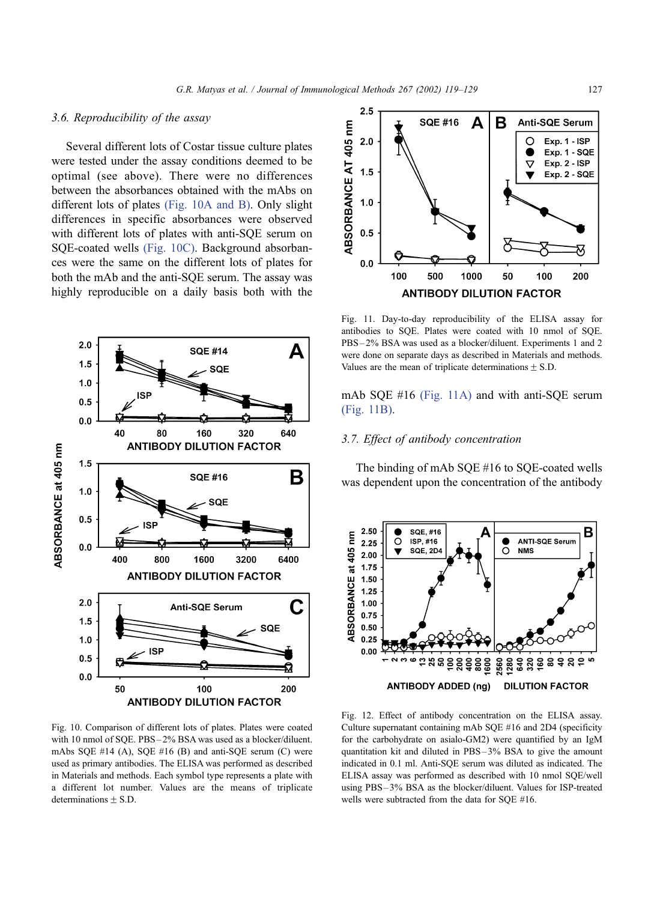# <span id="page-9-0"></span>3.6. Reproducibility of the assay

Several different lots of Costar tissue culture plates were tested under the assay conditions deemed to be optimal (see above). There were no differences between the absorbances obtained with the mAbs on different lots of plates (Fig. 10A and B). Only slight differences in specific absorbances were observed with different lots of plates with anti-SQE serum on SQE-coated wells (Fig. 10C). Background absorbances were the same on the different lots of plates for both the mAb and the anti-SQE serum. The assay was highly reproducible on a daily basis both with the



Fig. 10. Comparison of different lots of plates. Plates were coated with 10 nmol of SQE. PBS – 2% BSA was used as a blocker/diluent. mAbs SQE  $#14$  (A), SQE  $#16$  (B) and anti-SQE serum (C) were used as primary antibodies. The ELISA was performed as described in Materials and methods. Each symbol type represents a plate with a different lot number. Values are the means of triplicate  $determinations + S.D.$ 



Fig. 11. Day-to-day reproducibility of the ELISA assay for antibodies to SQE. Plates were coated with 10 nmol of SQE. PBS – 2% BSA was used as a blocker/diluent. Experiments 1 and 2 were done on separate days as described in Materials and methods. Values are the mean of triplicate determinations  $\pm$  S.D.

mAb SQE #16 (Fig. 11A) and with anti-SQE serum (Fig. 11B).

## 3.7. Effect of antibody concentration

The binding of mAb SQE #16 to SQE-coated wells was dependent upon the concentration of the antibody



Fig. 12. Effect of antibody concentration on the ELISA assay. Culture supernatant containing mAb SQE #16 and 2D4 (specificity for the carbohydrate on asialo-GM2) were quantified by an IgM quantitation kit and diluted in PBS – 3% BSA to give the amount indicated in 0.1 ml. Anti-SQE serum was diluted as indicated. The ELISA assay was performed as described with 10 nmol SQE/well using PBS – 3% BSA as the blocker/diluent. Values for ISP-treated wells were subtracted from the data for SQE #16.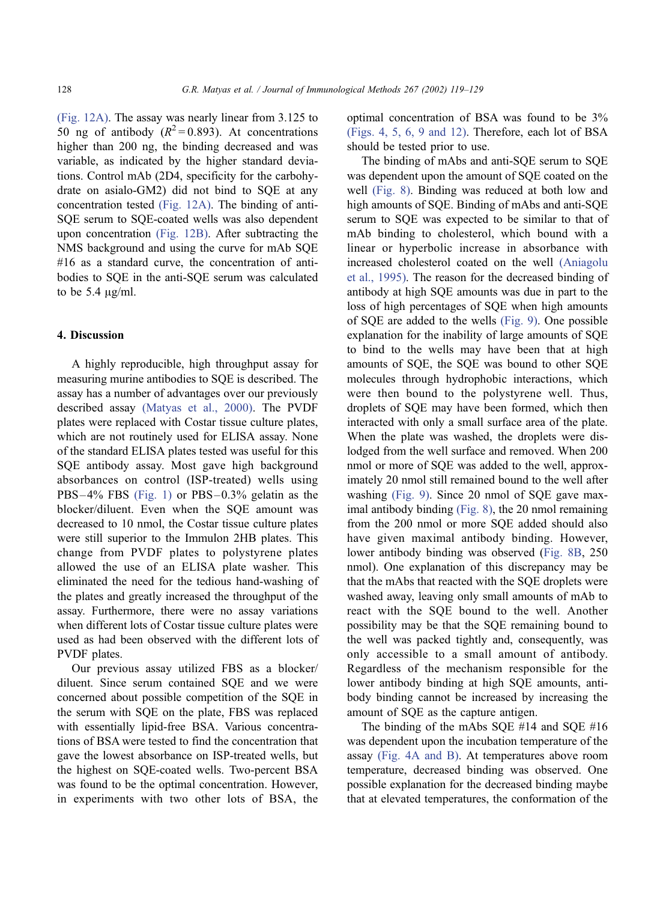[\(Fig. 12A\).](#page-9-0) The assay was nearly linear from 3.125 to 50 ng of antibody ( $R^2 = 0.893$ ). At concentrations higher than 200 ng, the binding decreased and was variable, as indicated by the higher standard deviations. Control mAb (2D4, specificity for the carbohydrate on asialo-GM2) did not bind to SQE at any concentration tested [\(Fig. 12A\).](#page-9-0) The binding of anti-SQE serum to SQE-coated wells was also dependent upon concentration [\(Fig. 12B\).](#page-9-0) After subtracting the NMS background and using the curve for mAb SQE #16 as a standard curve, the concentration of antibodies to SQE in the anti-SQE serum was calculated to be  $5.4 \mu g/ml$ .

#### 4. Discussion

A highly reproducible, high throughput assay for measuring murine antibodies to SQE is described. The assay has a number of advantages over our previously described assay [\(Matyas et al., 2000\).](#page-11-0) The PVDF plates were replaced with Costar tissue culture plates, which are not routinely used for ELISA assay. None of the standard ELISA plates tested was useful for this SQE antibody assay. Most gave high background absorbances on control (ISP-treated) wells using  $PBS-4\%$  FBS [\(Fig. 1\)](#page-3-0) or PBS $-0.3\%$  gelatin as the blocker/diluent. Even when the SQE amount was decreased to 10 nmol, the Costar tissue culture plates were still superior to the Immulon 2HB plates. This change from PVDF plates to polystyrene plates allowed the use of an ELISA plate washer. This eliminated the need for the tedious hand-washing of the plates and greatly increased the throughput of the assay. Furthermore, there were no assay variations when different lots of Costar tissue culture plates were used as had been observed with the different lots of PVDF plates.

Our previous assay utilized FBS as a blocker/ diluent. Since serum contained SQE and we were concerned about possible competition of the SQE in the serum with SQE on the plate, FBS was replaced with essentially lipid-free BSA. Various concentrations of BSA were tested to find the concentration that gave the lowest absorbance on ISP-treated wells, but the highest on SQE-coated wells. Two-percent BSA was found to be the optimal concentration. However, in experiments with two other lots of BSA, the optimal concentration of BSA was found to be 3% [\(Figs. 4, 5, 6, 9 and 12\).](#page-5-0) Therefore, each lot of BSA should be tested prior to use.

The binding of mAbs and anti-SQE serum to SQE was dependent upon the amount of SQE coated on the well [\(Fig. 8\).](#page-7-0) Binding was reduced at both low and high amounts of SQE. Binding of mAbs and anti-SQE serum to SQE was expected to be similar to that of mAb binding to cholesterol, which bound with a linear or hyperbolic increase in absorbance with increased cholesterol coated on the well [\(Aniagolu](#page-11-0) et al., 1995). The reason for the decreased binding of antibody at high SQE amounts was due in part to the loss of high percentages of SQE when high amounts of SQE are added to the wells [\(Fig. 9\).](#page-8-0) One possible explanation for the inability of large amounts of SQE to bind to the wells may have been that at high amounts of SQE, the SQE was bound to other SQE molecules through hydrophobic interactions, which were then bound to the polystyrene well. Thus, droplets of SQE may have been formed, which then interacted with only a small surface area of the plate. When the plate was washed, the droplets were dislodged from the well surface and removed. When 200 nmol or more of SQE was added to the well, approximately 20 nmol still remained bound to the well after washing [\(Fig. 9\).](#page-8-0) Since 20 nmol of SQE gave maximal antibody binding [\(Fig. 8\),](#page-7-0) the 20 nmol remaining from the 200 nmol or more SQE added should also have given maximal antibody binding. However, lower antibody binding was observed ([Fig. 8B,](#page-7-0) 250 nmol). One explanation of this discrepancy may be that the mAbs that reacted with the SQE droplets were washed away, leaving only small amounts of mAb to react with the SQE bound to the well. Another possibility may be that the SQE remaining bound to the well was packed tightly and, consequently, was only accessible to a small amount of antibody. Regardless of the mechanism responsible for the lower antibody binding at high SQE amounts, antibody binding cannot be increased by increasing the amount of SQE as the capture antigen.

The binding of the mAbs SQE #14 and SQE #16 was dependent upon the incubation temperature of the assay [\(Fig. 4A and B\).](#page-5-0) At temperatures above room temperature, decreased binding was observed. One possible explanation for the decreased binding maybe that at elevated temperatures, the conformation of the